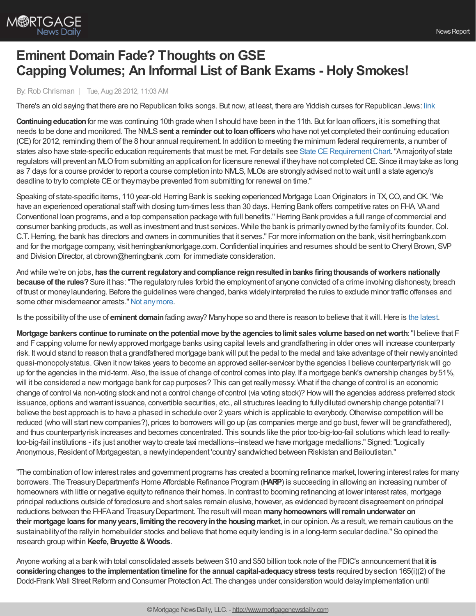

## **Eminent Domain Fade? Thoughts on GSE Capping Volumes; An Informal List of Bank Exams - Holy Smokes!**

## By:Rob Chrisman | Tue, Aug 28 2012, 11:03 AM

There's an old saying that there are no Republican folks songs. But now, at least, there are Yiddish curses for Republican Jews: [link](http://www.yiddishcursesforrepublicanjews.com/)

**Continuingeducation**for me was continuing 10th grade when I should have been in the 11th. But for loan officers, it is something that needs to be done and monitored. The NMLS**sent a reminder out toloanofficers** who have not yet completed their continuing education (CE) for 2012, reminding them of the 8 hour annual requirement. In addition to meeting the minimum federal requirements, a number of states also have state-specific education requirements that must be met. For details see State CE Requirement Chart. "Amajority of state regulators will prevent an MLOfrom submitting an application for licensure renewal if theyhave not completed CE. Since it maytake as long as 7 days for a course provider to report a course completion into NMLS, MLOs are stronglyadvised not to wait until a state agency's deadline to try to complete CE or they may be prevented from submitting for renewal on time."

Speaking of state-specific items, 110 year-old Herring Bank is seeking experienced Mortgage Loan Originators in TX, CO, and OK. "We have an experienced operational staff with closing turn-times less than 30 days. Herring Bank offers competitive rates on FHA, VA and Conventional loan programs, and a top compensation package with full benefits."Herring Bank provides a full range of commercial and consumer banking products, as well as investment and trust services. While the bank is primarilyowned bythe familyof its founder,Col. C.T.Herring, the bank has directors and owners in communities that it serves." For more information on the bank, visit herringbank.com and for the mortgage company, visit herringbankmortgage.com.Confidential inquiries and resumes should be sent to Cheryl Brown, SVP and Division Director, at cbrown@herringbank .com for immediate consideration.

And while we're on jobs, **has the currentregulatoryandcompliance reignresultedinbanks firingthousands ofworkers nationally because of the rules?**Sure it has:"The regulatoryrules forbid the employment of anyone convicted of a crime involving dishonesty, breach of trust or moneylaundering. Before the guidelines were changed, banks widelyinterpreted the rules to exclude minor traffic offenses and some other misdemeanor arrests." Not any more.

Is the possibility of the use of **eminent domain** fading away? Many hope so and there is reason to believe that it will. Here is the [latest](http://www.dailybulletin.com/ci_21413250/san-bernardino-county-supervisor-mortgage-relief-plan-could).

**Mortgage bankers continue toruminate onthe potentialmove bythe agencies tolimit sales volume basedonnetworth**:"I believe that F and Fcapping volume for newlyapproved mortgage banks using capital levels and grandfathering in older ones will increase counterparty risk. Itwould stand to reason that a grandfathered mortgage bankwill put the pedal to the medal and take advantage of their newlyanointed quasi-monopolystatus.Given it nowtakes years to become an approved seller-servicer bythe agencies I believe counterpartyriskwill go up for the agencies in the mid-term. Also, the issue of change of control comes into play. If a mortgage bank's ownership changes by51%, will it be considered a new mortgage bank for cap purposes? This can get reallymessy. What if the change of control is an economic change of control via non-voting stock and not a control change of control (via voting stock)? Howwill the agencies address preferred stock issuance, options and warrant issuance, convertible securities, etc., all structures leading to fully diluted ownership change potential? I believe the best approach is to have a phased in schedule over 2 years which is applicable to everybody. Otherwise competition will be reduced (who will start new companies?), prices to borrowers will go up (as companies merge and go bust, fewer will be grandfathered), and thus counterpartyrisk increases and becomes concentrated. This sounds like the prior too-big-too-fail solutions which lead to reallytoo-big-fail institutions - it's just another wayto create taxi medallions--instead we have mortgage medallions." Signed:"Logically Anonymous,Resident of Mortgagestan, a newlyindependent 'country' sandwiched between Riskistan and Bailoutistan."

"The combination of lowinterest rates and government programs has created a booming refinance market, lowering interest rates for many borrowers. The TreasuryDepartment's Home Affordable Refinance Program (**HARP**) is succeeding in allowing an increasing number of homeowners with little or negative equityto refinance their homes. In contrast to booming refinancing at lower interest rates, mortgage principal reductions outside of foreclosure and short sales remain elusive, however, as evidenced byrecent disagreement on principal reductions between the FHFAand TreasuryDepartment. The resultwill mean **manyhomeownerswillremainunderwater on their mortgage loans for manyyears, limitingthe recoveryinthe housingmarket**, in our opinion. As a result,we remain cautious on the sustainabilityof the rallyin homebuilder stocks and believe that home equitylending is in a long-term secular decline." So opined the research group within **Keefe,Bruyette & Woods**.

Anyone working at a bankwith total consolidated assets between \$10 and \$50 billion took note of the FDIC's announcement that **it is considering changes to the implementation timeline for the annual capital-adequacy stress tests required by section 165(i)(2) of the** Dodd-Frank Wall Street Reform and Consumer Protection Act. The changes under consideration would delay implementation until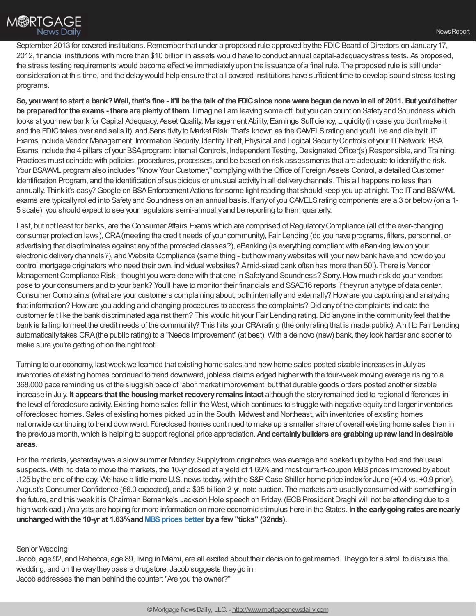September 2013 for covered institutions. Remember that under a proposed rule approved by the FDIC Board of Directors on January 17, 2012, financial institutions with more than \$10 billion in assets would have to conduct annual capital-adequacystress tests. As proposed, the stress testing requirements would become effective immediatelyupon the issuance of a final rule. The proposed rule is still under consideration at this time, and the delaywould help ensure that all covered institutions have sufficient time to develop sound stress testing programs.

So, you want to start a bank? Well, that's fine - it'll be the talk of the FDIC since none were begun de novo in all of 2011. But you'd better **be preparedfor the exams - there are plentyof them.** I imagine I am leaving some off, but you can count on Safetyand Soundness which looks at your new bank for Capital Adequacy, Asset Quality, Management Ability, Earnings Sufficiency, Liquidity (in case you don't make it and the FDIC takes over and sells it), and Sensitivity to Market Risk. That's known as the CAMELS rating and you'll live and die by it. IT Exams include Vendor Management, Information Security, IdentityTheft, Physical and Logical SecurityControls of your ITNetwork. BSA Exams include the 4 pillars of your BSA program: Internal Controls, Independent Testing, Designated Officer(s) Responsible, and Training. Practices must coincide with policies, procedures, processes, and be based on risk assessments that are adequate to identifythe risk. Your BSA/AML program also includes "Know Your Customer," complying with the Office of Foreign Assets Control, a detailed Customer Identification Program, and the identification of suspicious or unusual activityin all deliverychannels. This all happens no less than annually. Think it's easy?Google on BSAEnforcement Actions for some light reading that should keep you up at night. The ITand BSA/AML exams are typically rolled into Safety and Soundness on an annual basis. If any of you CAMELS rating components are a 3 or below (on a 1-5 scale), you should expect to see your regulators semi-annuallyand be reporting to them quarterly.

Last, but not least for banks, are the Consumer Affairs Exams which are comprised of Regulatory Compliance (all of the ever-changing consumer protection laws),CRA(meeting the credit needs of your community), Fair Lending (do you have programs, filters, personnel, or advertising that discriminates against anyof the protected classes?), eBanking (is everything compliantwith eBanking lawon your electronic deliverychannels?), and Website Compliance (same thing - but how manywebsites will your newbank have and howdo you control mortgage originators who need their own, individual websites? Amid-sized bank often has more than 50!). There is Vendor Management Compliance Risk - thought you were done with that one in Safety and Soundness? Sorry. How much risk do your vendors pose to your consumers and to your bank? You'll have to monitor their financials and SSAE16 reports if theyrun anytype of data center. Consumer Complaints (what are your customers complaining about, both internally and externally? How are you capturing and analyzing that information? Howare you adding and changing procedures to address the complaints? Did anyof the complaints indicate the customer felt like the bank discriminated against them? This would hit your Fair Lending rating.Did anyone in the communityfeel that the bank is failing to meet the credit needs of the community? This hits your CRA rating (the only rating that is made public). A hit to Fair Lending automaticallytakes CRA(the public rating) to a "Needs Improvement"(at best). With a de novo (new) bank, theylook harder and sooner to make sure you're getting off on the right foot.

Turning to our economy, lastweekwe learned that existing home sales and newhome sales posted sizable increases in Julyas inventories of existing homes continued to trend downward, jobless claims edged higher with the four-week moving average rising to a 368,000 pace reminding us of the sluggish pace of labor market improvement, but that durable goods orders posted another sizable increase in July. It appears that the housing market recovery remains intact although the story remained tied to regional differences in the level of foreclosure activity. Existing home sales fell in the West,which continues to struggle with negative equityand larger inventories of foreclosed homes. Sales of existing homes picked up in the South, Midwest and Northeast,with inventories of existing homes nationwide continuing to trend downward. Foreclosed homes continued to make up a smaller share of overall existing home sales than in the previous month,which is helping to support regional price appreciation.**Andcertainlybuilders are grabbingupraw landindesirable areas**.

For the markets, yesterdaywas a slowsummer Monday. Supplyfrom originators was average and soaked up bythe Fed and the usual suspects. With no data to move the markets, the 10-yr closed at a yield of 1.65% and most current-coupon MBS prices improved by about .125 bythe end of the day. We have a little more U.S. news today,with the S&PCase Shiller home price indexfor June (+0.4 vs. +0.9 prior), August's Consumer Confidence (66.0 expected), and a \$35 billion 2-yr. note auction. The markets are usuallyconsumed with something in the future, and this week it is Chairman Bernanke's Jackson Hole speech on Friday. (ECB President Draghi will not be attending due to a high workload.) Analysts are hoping for more information on more economic stimulus here in the States. **Inthe earlygoingrates are nearly unchangedwiththe 10-yr at 1.63%and[MBSprices](http://www.mortgagenewsdaily.com/mbs/) better bya few "ticks" (32nds).**

## Senior Wedding

Jacob, age 92, and Rebecca, age 89, living in Miami, are all excited about their decision to get married. Theygo for a stroll to discuss the wedding, and on the waytheypass a drugstore, Jacob suggests theygo in. Jacob addresses the man behind the counter:"Are you the owner?"